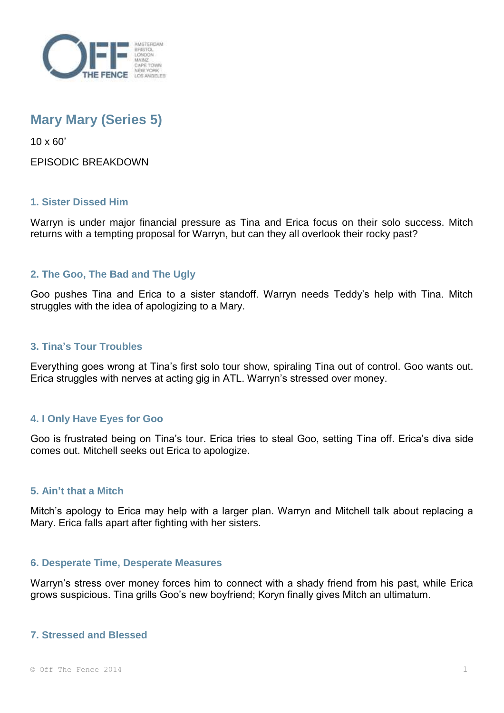

# **Mary Mary (Series 5)**

10 x 60'

## EPISODIC BREAKDOWN

## **1. Sister Dissed Him**

Warryn is under major financial pressure as Tina and Erica focus on their solo success. Mitch returns with a tempting proposal for Warryn, but can they all overlook their rocky past?

# **2. The Goo, The Bad and The Ugly**

Goo pushes Tina and Erica to a sister standoff. Warryn needs Teddy's help with Tina. Mitch struggles with the idea of apologizing to a Mary.

## **3. Tina's Tour Troubles**

Everything goes wrong at Tina's first solo tour show, spiraling Tina out of control. Goo wants out. Erica struggles with nerves at acting gig in ATL. Warryn's stressed over money.

# **4. I Only Have Eyes for Goo**

Goo is frustrated being on Tina's tour. Erica tries to steal Goo, setting Tina off. Erica's diva side comes out. Mitchell seeks out Erica to apologize.

### **5. Ain't that a Mitch**

Mitch's apology to Erica may help with a larger plan. Warryn and Mitchell talk about replacing a Mary. Erica falls apart after fighting with her sisters.

### **6. Desperate Time, Desperate Measures**

Warryn's stress over money forces him to connect with a shady friend from his past, while Erica grows suspicious. Tina grills Goo's new boyfriend; Koryn finally gives Mitch an ultimatum.

### **7. Stressed and Blessed**